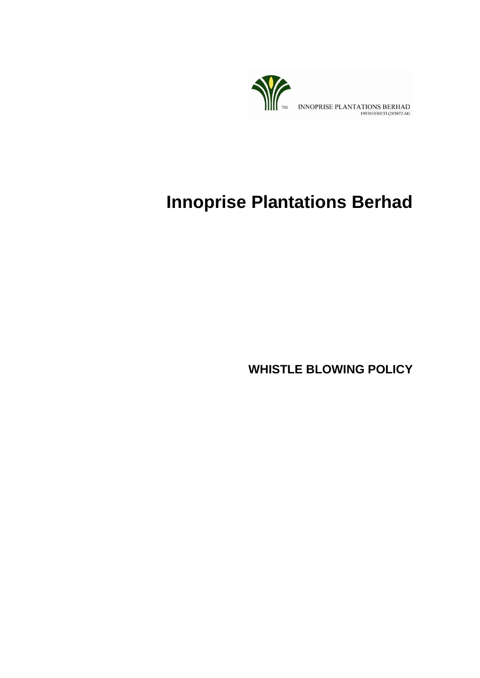

# **Innoprise Plantations Berhad**

**WHISTLE BLOWING POLICY**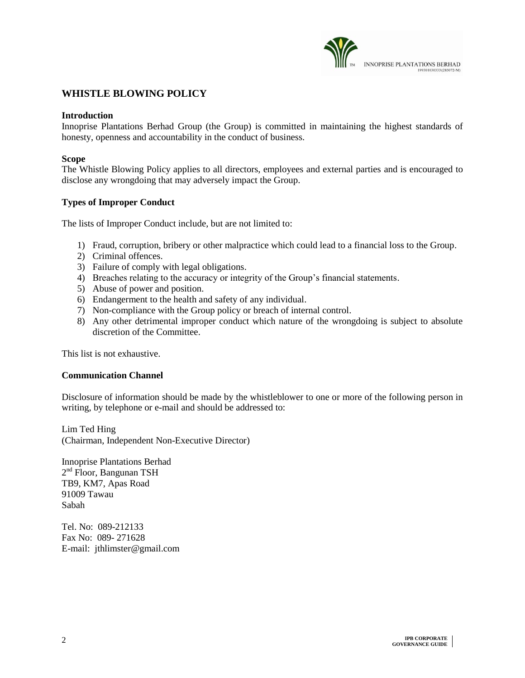

# **WHISTLE BLOWING POLICY**

#### **Introduction**

Innoprise Plantations Berhad Group (the Group) is committed in maintaining the highest standards of honesty, openness and accountability in the conduct of business.

#### **Scope**

The Whistle Blowing Policy applies to all directors, employees and external parties and is encouraged to disclose any wrongdoing that may adversely impact the Group.

# **Types of Improper Conduct**

The lists of Improper Conduct include, but are not limited to:

- 1) Fraud, corruption, bribery or other malpractice which could lead to a financial loss to the Group.
- 2) Criminal offences.
- 3) Failure of comply with legal obligations.
- 4) Breaches relating to the accuracy or integrity of the Group's financial statements.
- 5) Abuse of power and position.
- 6) Endangerment to the health and safety of any individual.
- 7) Non-compliance with the Group policy or breach of internal control.
- 8) Any other detrimental improper conduct which nature of the wrongdoing is subject to absolute discretion of the Committee.

This list is not exhaustive.

#### **Communication Channel**

Disclosure of information should be made by the whistleblower to one or more of the following person in writing, by telephone or e-mail and should be addressed to:

Lim Ted Hing (Chairman, Independent Non-Executive Director)

Innoprise Plantations Berhad 2<sup>nd</sup> Floor, Bangunan TSH TB9, KM7, Apas Road 91009 Tawau Sabah

Tel. No: 089-212133 Fax No: 089- 271628 E-mail: jthlimster@gmail.com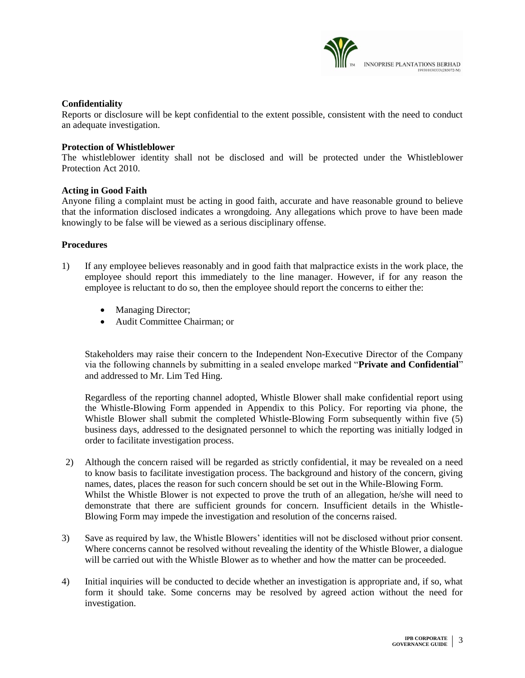

# **Confidentiality**

Reports or disclosure will be kept confidential to the extent possible, consistent with the need to conduct an adequate investigation.

#### **Protection of Whistleblower**

The whistleblower identity shall not be disclosed and will be protected under the Whistleblower Protection Act 2010.

### **Acting in Good Faith**

Anyone filing a complaint must be acting in good faith, accurate and have reasonable ground to believe that the information disclosed indicates a wrongdoing. Any allegations which prove to have been made knowingly to be false will be viewed as a serious disciplinary offense.

### **Procedures**

- 1) If any employee believes reasonably and in good faith that malpractice exists in the work place, the employee should report this immediately to the line manager. However, if for any reason the employee is reluctant to do so, then the employee should report the concerns to either the:
	- Managing Director;
	- Audit Committee Chairman; or

Stakeholders may raise their concern to the Independent Non-Executive Director of the Company via the following channels by submitting in a sealed envelope marked "**Private and Confidential**" and addressed to Mr. Lim Ted Hing.

Regardless of the reporting channel adopted, Whistle Blower shall make confidential report using the Whistle-Blowing Form appended in Appendix to this Policy. For reporting via phone, the Whistle Blower shall submit the completed Whistle-Blowing Form subsequently within five (5) business days, addressed to the designated personnel to which the reporting was initially lodged in order to facilitate investigation process.

- 2) Although the concern raised will be regarded as strictly confidential, it may be revealed on a need to know basis to facilitate investigation process. The background and history of the concern, giving names, dates, places the reason for such concern should be set out in the While-Blowing Form. Whilst the Whistle Blower is not expected to prove the truth of an allegation, he/she will need to demonstrate that there are sufficient grounds for concern. Insufficient details in the Whistle-Blowing Form may impede the investigation and resolution of the concerns raised.
- 3) Save as required by law, the Whistle Blowers' identities will not be disclosed without prior consent. Where concerns cannot be resolved without revealing the identity of the Whistle Blower, a dialogue will be carried out with the Whistle Blower as to whether and how the matter can be proceeded.
- 4) Initial inquiries will be conducted to decide whether an investigation is appropriate and, if so, what form it should take. Some concerns may be resolved by agreed action without the need for investigation.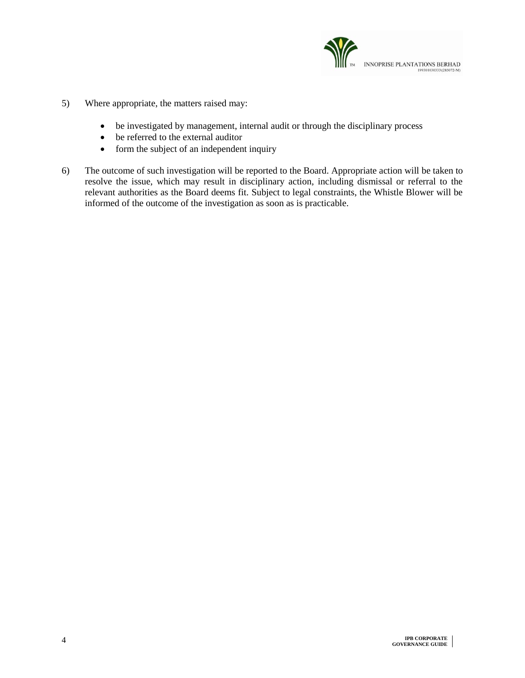

- 5) Where appropriate, the matters raised may:
	- be investigated by management, internal audit or through the disciplinary process
	- be referred to the external auditor
	- form the subject of an independent inquiry
- 6) The outcome of such investigation will be reported to the Board. Appropriate action will be taken to resolve the issue, which may result in disciplinary action, including dismissal or referral to the relevant authorities as the Board deems fit. Subject to legal constraints, the Whistle Blower will be informed of the outcome of the investigation as soon as is practicable.